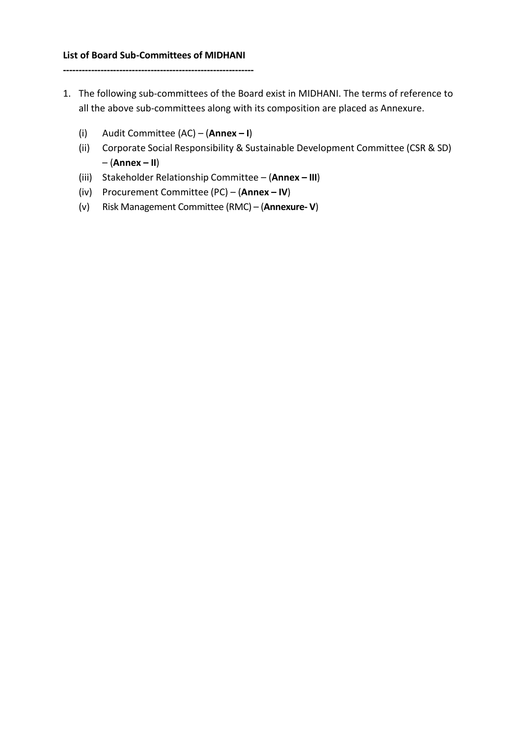## **List of Board Sub-Committees of MIDHANI**

**-------------------------------------------------------------**

- 1. The following sub-committees of the Board exist in MIDHANI. The terms of reference to all the above sub-committees along with its composition are placed as Annexure.
	- (i) Audit Committee (AC) (**Annex – I**)
	- (ii) Corporate Social Responsibility & Sustainable Development Committee (CSR & SD) – (**Annex – II**)
	- (iii) Stakeholder Relationship Committee (**Annex – III**)
	- (iv) Procurement Committee (PC) (**Annex – IV**)
	- (v) Risk Management Committee (RMC) (**Annexure- V**)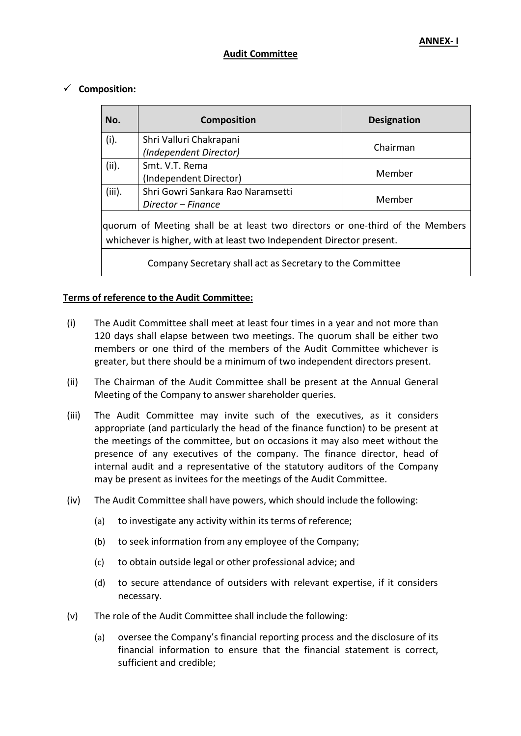#### **Audit Committee**

### **Composition:**

| No.                                                                                                                                                   | <b>Composition</b>                | <b>Designation</b> |  |
|-------------------------------------------------------------------------------------------------------------------------------------------------------|-----------------------------------|--------------------|--|
| (i).                                                                                                                                                  | Shri Valluri Chakrapani           | Chairman           |  |
|                                                                                                                                                       | (Independent Director)            |                    |  |
| (ii).                                                                                                                                                 | Smt. V.T. Rema                    | Member             |  |
|                                                                                                                                                       | (Independent Director)            |                    |  |
| (iii).                                                                                                                                                | Shri Gowri Sankara Rao Naramsetti | Member             |  |
|                                                                                                                                                       | Director – Finance                |                    |  |
| quorum of Meeting shall be at least two directors or one-third of the Members<br>whichever is higher, with at least two Independent Director present. |                                   |                    |  |
| Company Secretary shall act as Secretary to the Committee                                                                                             |                                   |                    |  |

## **Terms of reference to the Audit Committee:**

- (i) The Audit Committee shall meet at least four times in a year and not more than 120 days shall elapse between two meetings. The quorum shall be either two members or one third of the members of the Audit Committee whichever is greater, but there should be a minimum of two independent directors present.
- (ii) The Chairman of the Audit Committee shall be present at the Annual General Meeting of the Company to answer shareholder queries.
- (iii) The Audit Committee may invite such of the executives, as it considers appropriate (and particularly the head of the finance function) to be present at the meetings of the committee, but on occasions it may also meet without the presence of any executives of the company. The finance director, head of internal audit and a representative of the statutory auditors of the Company may be present as invitees for the meetings of the Audit Committee.
- (iv) The Audit Committee shall have powers, which should include the following:
	- (a) to investigate any activity within its terms of reference;
	- (b) to seek information from any employee of the Company;
	- (c) to obtain outside legal or other professional advice; and
	- (d) to secure attendance of outsiders with relevant expertise, if it considers necessary.
- (v) The role of the Audit Committee shall include the following:
	- (a) oversee the Company's financial reporting process and the disclosure of its financial information to ensure that the financial statement is correct, sufficient and credible;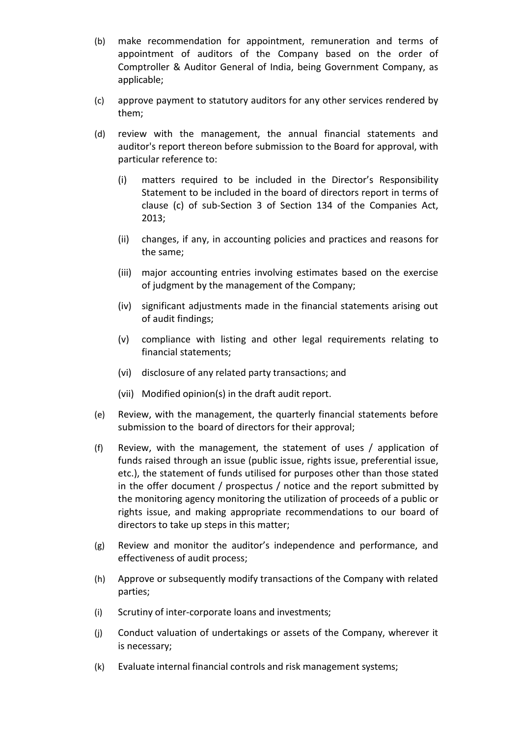- (b) make recommendation for appointment, remuneration and terms of appointment of auditors of the Company based on the order of Comptroller & Auditor General of India, being Government Company, as applicable;
- (c) approve payment to statutory auditors for any other services rendered by them;
- (d) review with the management, the annual financial statements and auditor's report thereon before submission to the Board for approval, with particular reference to:
	- (i) matters required to be included in the Director's Responsibility Statement to be included in the board of directors report in terms of clause (c) of sub-Section 3 of Section 134 of the Companies Act, 2013;
	- (ii) changes, if any, in accounting policies and practices and reasons for the same;
	- (iii) major accounting entries involving estimates based on the exercise of judgment by the management of the Company;
	- (iv) significant adjustments made in the financial statements arising out of audit findings;
	- (v) compliance with listing and other legal requirements relating to financial statements;
	- (vi) disclosure of any related party transactions; and
	- (vii) Modified opinion(s) in the draft audit report.
- (e) Review, with the management, the quarterly financial statements before submission to the board of directors for their approval;
- (f) Review, with the management, the statement of uses / application of funds raised through an issue (public issue, rights issue, preferential issue, etc.), the statement of funds utilised for purposes other than those stated in the offer document / prospectus / notice and the report submitted by the monitoring agency monitoring the utilization of proceeds of a public or rights issue, and making appropriate recommendations to our board of directors to take up steps in this matter;
- (g) Review and monitor the auditor's independence and performance, and effectiveness of audit process;
- (h) Approve or subsequently modify transactions of the Company with related parties;
- (i) Scrutiny of inter-corporate loans and investments;
- (j) Conduct valuation of undertakings or assets of the Company, wherever it is necessary;
- (k) Evaluate internal financial controls and risk management systems;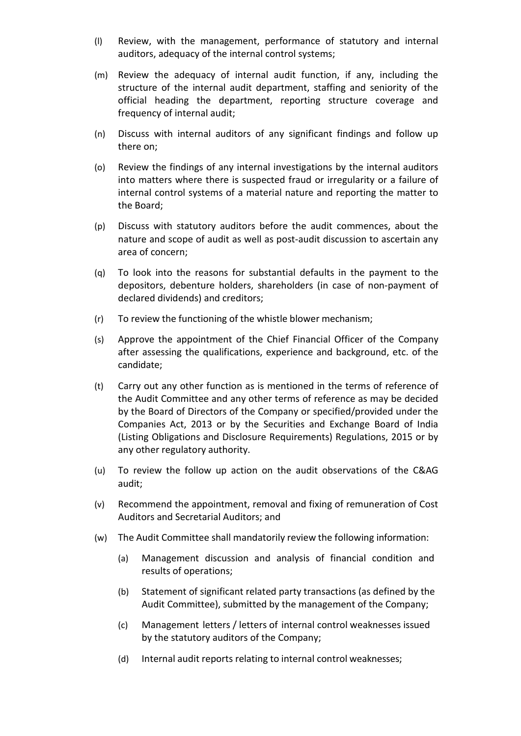- (l) Review, with the management, performance of statutory and internal auditors, adequacy of the internal control systems;
- (m) Review the adequacy of internal audit function, if any, including the structure of the internal audit department, staffing and seniority of the official heading the department, reporting structure coverage and frequency of internal audit;
- (n) Discuss with internal auditors of any significant findings and follow up there on;
- (o) Review the findings of any internal investigations by the internal auditors into matters where there is suspected fraud or irregularity or a failure of internal control systems of a material nature and reporting the matter to the Board;
- (p) Discuss with statutory auditors before the audit commences, about the nature and scope of audit as well as post-audit discussion to ascertain any area of concern;
- (q) To look into the reasons for substantial defaults in the payment to the depositors, debenture holders, shareholders (in case of non-payment of declared dividends) and creditors;
- (r) To review the functioning of the whistle blower mechanism;
- (s) Approve the appointment of the Chief Financial Officer of the Company after assessing the qualifications, experience and background, etc. of the candidate;
- (t) Carry out any other function as is mentioned in the terms of reference of the Audit Committee and any other terms of reference as may be decided by the Board of Directors of the Company or specified/provided under the Companies Act, 2013 or by the Securities and Exchange Board of India (Listing Obligations and Disclosure Requirements) Regulations, 2015 or by any other regulatory authority.
- (u) To review the follow up action on the audit observations of the C&AG audit;
- (v) Recommend the appointment, removal and fixing of remuneration of Cost Auditors and Secretarial Auditors; and
- (w) The Audit Committee shall mandatorily review the following information:
	- (a) Management discussion and analysis of financial condition and results of operations;
	- (b) Statement of significant related party transactions (as defined by the Audit Committee), submitted by the management of the Company;
	- (c) Management letters / letters of internal control weaknesses issued by the statutory auditors of the Company;
	- (d) Internal audit reports relating to internal control weaknesses;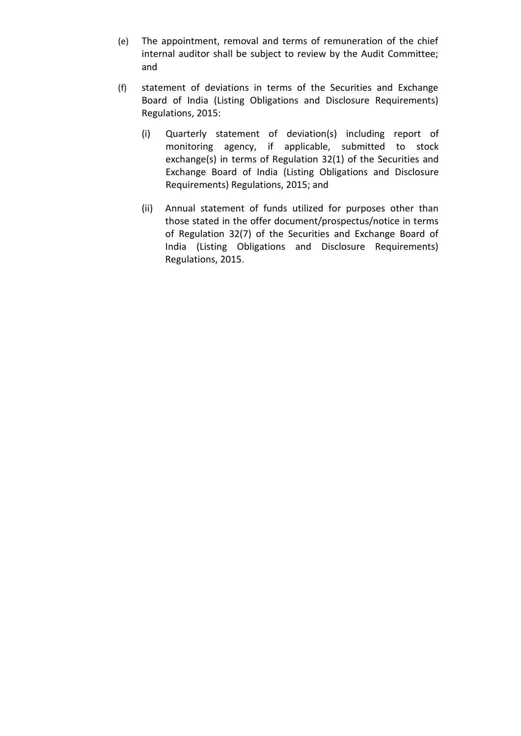- (e) The appointment, removal and terms of remuneration of the chief internal auditor shall be subject to review by the Audit Committee; and
- (f) statement of deviations in terms of the Securities and Exchange Board of India (Listing Obligations and Disclosure Requirements) Regulations, 2015:
	- (i) Quarterly statement of deviation(s) including report of monitoring agency, if applicable, submitted to stock exchange(s) in terms of Regulation 32(1) of the Securities and Exchange Board of India (Listing Obligations and Disclosure Requirements) Regulations, 2015; and
	- (ii) Annual statement of funds utilized for purposes other than those stated in the offer document/prospectus/notice in terms of Regulation 32(7) of the Securities and Exchange Board of India (Listing Obligations and Disclosure Requirements) Regulations, 2015.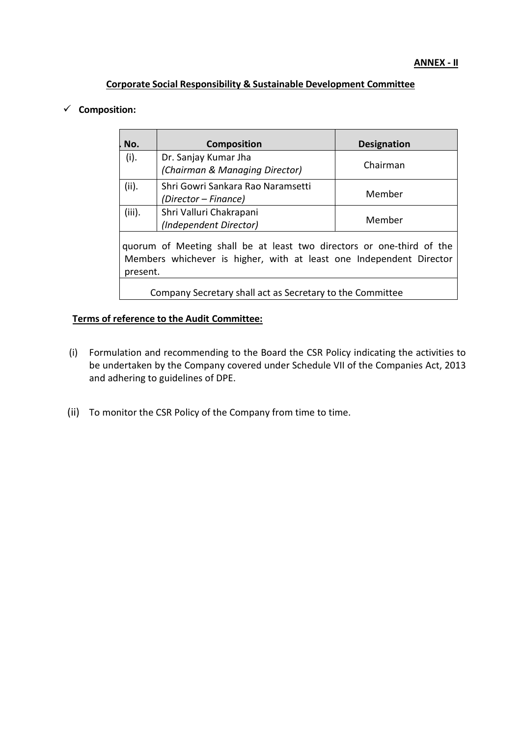### **Corporate Social Responsibility & Sustainable Development Committee**

## **Composition:**

| No.                                                                                                                                                      | <b>Composition</b>                | <b>Designation</b> |  |
|----------------------------------------------------------------------------------------------------------------------------------------------------------|-----------------------------------|--------------------|--|
| (i).                                                                                                                                                     | Dr. Sanjay Kumar Jha              | Chairman           |  |
|                                                                                                                                                          | (Chairman & Managing Director)    |                    |  |
| (ii).                                                                                                                                                    | Shri Gowri Sankara Rao Naramsetti |                    |  |
|                                                                                                                                                          | (Director – Finance)              | Member             |  |
| (iii).                                                                                                                                                   | Shri Valluri Chakrapani           |                    |  |
|                                                                                                                                                          | (Independent Director)            | Member             |  |
| quorum of Meeting shall be at least two directors or one-third of the<br>Members whichever is higher, with at least one Independent Director<br>present. |                                   |                    |  |
| Company Secretary shall act as Secretary to the Committee                                                                                                |                                   |                    |  |

## **Terms of reference to the Audit Committee:**

- (i) Formulation and recommending to the Board the CSR Policy indicating the activities to be undertaken by the Company covered under Schedule VII of the Companies Act, 2013 and adhering to guidelines of DPE.
- (ii) To monitor the CSR Policy of the Company from time to time.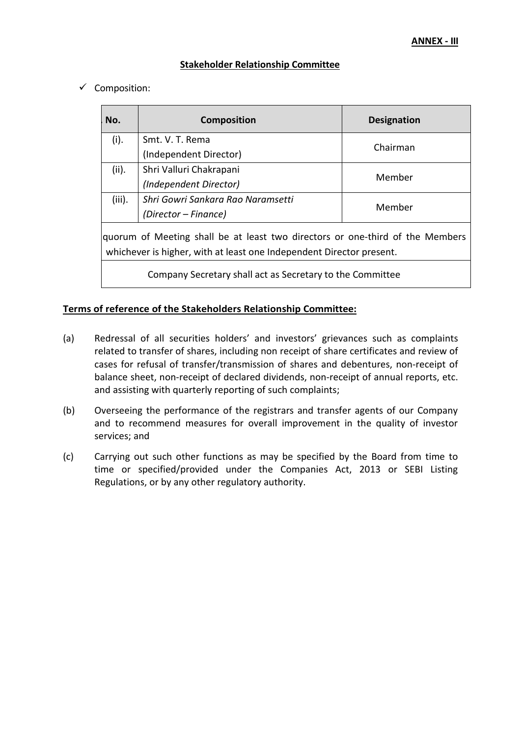# **Stakeholder Relationship Committee**

 $\checkmark$  Composition:

| No.                                                                                                                                                   | <b>Composition</b>                | <b>Designation</b> |  |
|-------------------------------------------------------------------------------------------------------------------------------------------------------|-----------------------------------|--------------------|--|
| (i).                                                                                                                                                  | Smt. V. T. Rema                   | Chairman           |  |
|                                                                                                                                                       | (Independent Director)            |                    |  |
| (ii).                                                                                                                                                 | Shri Valluri Chakrapani           | Member             |  |
|                                                                                                                                                       | (Independent Director)            |                    |  |
| (iii).                                                                                                                                                | Shri Gowri Sankara Rao Naramsetti | Member             |  |
|                                                                                                                                                       | (Director – Finance)              |                    |  |
| quorum of Meeting shall be at least two directors or one-third of the Members<br>whichever is higher, with at least one Independent Director present. |                                   |                    |  |
| Company Secretary shall act as Secretary to the Committee                                                                                             |                                   |                    |  |

## **Terms of reference of the Stakeholders Relationship Committee:**

- (a) Redressal of all securities holders' and investors' grievances such as complaints related to transfer of shares, including non receipt of share certificates and review of cases for refusal of transfer/transmission of shares and debentures, non-receipt of balance sheet, non-receipt of declared dividends, non-receipt of annual reports, etc. and assisting with quarterly reporting of such complaints;
- (b) Overseeing the performance of the registrars and transfer agents of our Company and to recommend measures for overall improvement in the quality of investor services; and
- (c) Carrying out such other functions as may be specified by the Board from time to time or specified/provided under the Companies Act, 2013 or SEBI Listing Regulations, or by any other regulatory authority.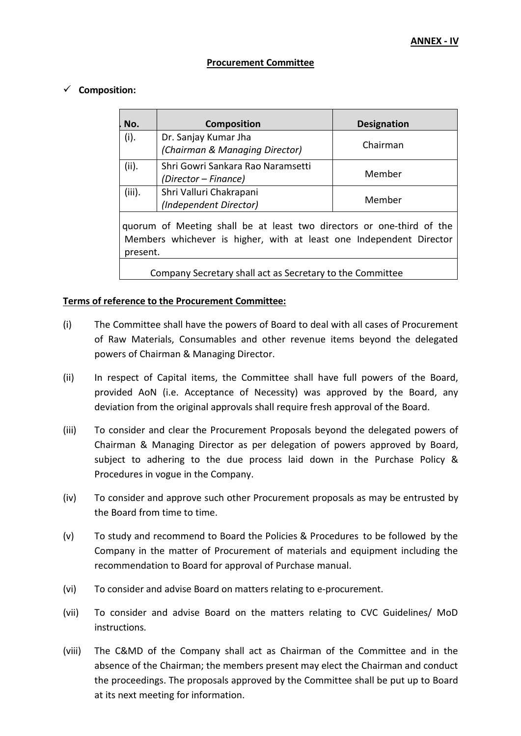#### **Procurement Committee**

#### **Composition:**

| No.                                                                                                                                                      | <b>Composition</b>                                        | <b>Designation</b> |  |
|----------------------------------------------------------------------------------------------------------------------------------------------------------|-----------------------------------------------------------|--------------------|--|
| (i).                                                                                                                                                     | Dr. Sanjay Kumar Jha<br>(Chairman & Managing Director)    | Chairman           |  |
| (ii).                                                                                                                                                    | Shri Gowri Sankara Rao Naramsetti<br>(Director – Finance) | Member             |  |
| (iii).                                                                                                                                                   | Shri Valluri Chakrapani<br>(Independent Director)         | Member             |  |
| quorum of Meeting shall be at least two directors or one-third of the<br>Members whichever is higher, with at least one Independent Director<br>present. |                                                           |                    |  |
| Company Secretary shall act as Secretary to the Committee                                                                                                |                                                           |                    |  |

#### **Terms of reference to the Procurement Committee:**

- (i) The Committee shall have the powers of Board to deal with all cases of Procurement of Raw Materials, Consumables and other revenue items beyond the delegated powers of Chairman & Managing Director.
- (ii) In respect of Capital items, the Committee shall have full powers of the Board, provided AoN (i.e. Acceptance of Necessity) was approved by the Board, any deviation from the original approvals shall require fresh approval of the Board.
- (iii) To consider and clear the Procurement Proposals beyond the delegated powers of Chairman & Managing Director as per delegation of powers approved by Board, subject to adhering to the due process laid down in the Purchase Policy & Procedures in vogue in the Company.
- (iv) To consider and approve such other Procurement proposals as may be entrusted by the Board from time to time.
- (v) To study and recommend to Board the Policies & Procedures to be followed by the Company in the matter of Procurement of materials and equipment including the recommendation to Board for approval of Purchase manual.
- (vi) To consider and advise Board on matters relating to e-procurement.
- (vii) To consider and advise Board on the matters relating to CVC Guidelines/ MoD instructions.
- (viii) The C&MD of the Company shall act as Chairman of the Committee and in the absence of the Chairman; the members present may elect the Chairman and conduct the proceedings. The proposals approved by the Committee shall be put up to Board at its next meeting for information.